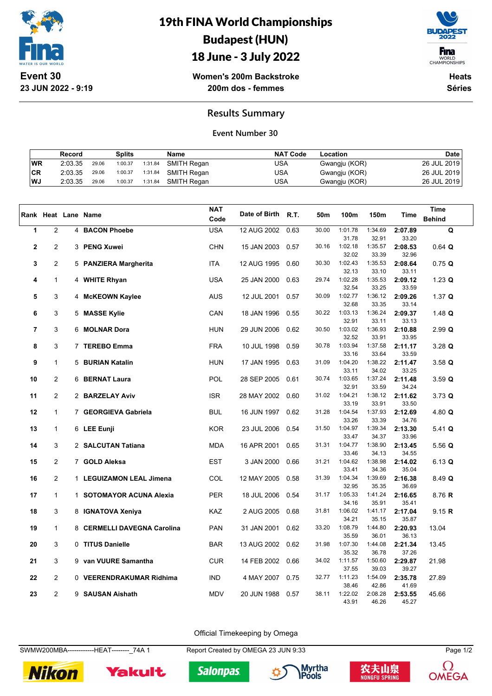

**23 JUN 2022 - 9:19**

19th FINA World Championships Budapest (HUN) 18 June - 3 July 2022



WORLD<br>CHAMPIONSHIPS

**Women's 200m Backstroke 200m dos - femmes**

**Heats Séries**

## **Results Summary**

## **Event Number 30**

|     | Record  |       | Splits  |         | <b>Name</b> | <b>NAT Code</b> | Location      | Date        |
|-----|---------|-------|---------|---------|-------------|-----------------|---------------|-------------|
| WR  | 2:03.35 | 29.06 | 1:00.37 | 1:31.84 | SMITH Regan | USA             | Gwangju (KOR) | 26 JUL 2019 |
| CR  | 2:03.35 | 29.06 | 1:00.37 | 1:31.84 | SMITH Regan | USA             | Gwangju (KOR) | 26 JUL 2019 |
| ∣WJ | 2:03.35 | 29.06 | 1:00.37 | 1:31.84 | SMITH Regan | USA             | Gwangju (KOR) | 26 JUL 2019 |

|             |                |   |                             | <b>NAT</b> |               |      |       |                  |                  |                  | <b>Time</b>   |
|-------------|----------------|---|-----------------------------|------------|---------------|------|-------|------------------|------------------|------------------|---------------|
|             |                |   | Rank Heat Lane Name         | Code       | Date of Birth | R.T. | 50m   | 100m             | 150m             | Time             | <b>Behind</b> |
| 1           | $\overline{2}$ | 4 | <b>BACON Phoebe</b>         | <b>USA</b> | 12 AUG 2002   | 0.63 | 30.00 | 1:01.78          | 1:34.69          | 2:07.89          | Q             |
|             |                |   |                             |            |               |      |       | 31.78            | 32.91            | 33.20            |               |
| $\mathbf 2$ | $\overline{c}$ |   | 3 PENG Xuwei                | <b>CHN</b> | 15 JAN 2003   | 0.57 | 30.16 | 1:02.18          | 1:35.57          | 2:08.53          | $0.64$ Q      |
|             |                |   |                             |            |               |      |       | 32.02            | 33.39            | 32.96            |               |
| 3           | $\overline{c}$ |   | 5 PANZIERA Margherita       | <b>ITA</b> | 12 AUG 1995   | 0.60 | 30.30 | 1:02.43          | 1:35.53          | 2:08.64          | 0.75 Q        |
|             |                |   |                             |            |               |      |       | 32.13            | 33.10            | 33.11            |               |
| 4           | $\mathbf{1}$   | 4 | <b>WHITE Rhyan</b>          | <b>USA</b> | 25 JAN 2000   | 0.63 | 29.74 | 1:02.28          | 1:35.53          | 2:09.12          | $1.23$ Q      |
|             |                |   |                             |            |               |      |       | 32.54            | 33.25            | 33.59            |               |
| 5           | 3              |   | 4 McKEOWN Kaylee            | <b>AUS</b> | 12 JUL 2001   | 0.57 | 30.09 | 1:02.77          | 1:36.12          | 2:09.26          | 1.37 $Q$      |
|             |                |   |                             |            |               |      |       | 32.68            | 33.35            | 33.14            |               |
| 6           | 3              |   | 5 MASSE Kylie               | CAN        | 18 JAN 1996   | 0.55 | 30.22 | 1:03.13<br>32.91 | 1:36.24<br>33.11 | 2:09.37          | $1.48$ Q      |
| 7           | 3              | 6 | <b>MOLNAR Dora</b>          | <b>HUN</b> | 29 JUN 2006   | 0.62 | 30.50 | 1:03.02          | 1:36.93          | 33.13<br>2:10.88 | $2.99$ Q      |
|             |                |   |                             |            |               |      |       | 32.52            | 33.91            | 33.95            |               |
| 8           | 3              | 7 | <b>TEREBO Emma</b>          | <b>FRA</b> | 10 JUL 1998   | 0.59 | 30.78 | 1:03.94          | 1:37.58          | 2:11.17          | $3.28$ Q      |
|             |                |   |                             |            |               |      |       | 33.16            | 33.64            | 33.59            |               |
| 9           | $\mathbf{1}$   |   | 5 BURIAN Katalin            | <b>HUN</b> | 17 JAN 1995   | 0.63 | 31.09 | 1:04.20          | 1:38.22          | 2:11.47          | 3.58 Q        |
|             |                |   |                             |            |               |      |       | 33.11            | 34.02            | 33.25            |               |
| 10          | 2              |   | 6 BERNAT Laura              | <b>POL</b> | 28 SEP 2005   | 0.61 | 30.74 | 1:03.65          | 1:37.24          | 2:11.48          | 3.59 Q        |
|             |                |   |                             |            |               |      |       | 32.91            | 33.59            | 34.24            |               |
| 11          | $\overline{2}$ |   | 2 BARZELAY Aviv             | <b>ISR</b> | 28 MAY 2002   | 0.60 | 31.02 | 1:04.21          | 1:38.12          | 2:11.62          | 3.73 Q        |
|             | $\mathbf{1}$   |   |                             |            |               |      | 31.28 | 33.19            | 33.91<br>1:37.93 | 33.50            |               |
| 12          |                |   | 7 GEORGIEVA Gabriela        | <b>BUL</b> | 16 JUN 1997   | 0.62 |       | 1:04.54<br>33.26 | 33.39            | 2:12.69<br>34.76 | 4.80 $Q$      |
| 13          | $\mathbf{1}$   |   | 6 LEE Eunji                 | <b>KOR</b> | 23 JUL 2006   | 0.54 | 31.50 | 1:04.97          | 1:39.34          | 2:13.30          | $5.41$ Q      |
|             |                |   |                             |            |               |      |       | 33.47            | 34.37            | 33.96            |               |
| 14          | 3              |   | 2 SALCUTAN Tatiana          | <b>MDA</b> | 16 APR 2001   | 0.65 | 31.31 | 1:04.77          | 1:38.90          | 2:13.45          | 5.56Q         |
|             |                |   |                             |            |               |      |       | 33.46            | 34.13            | 34.55            |               |
| 15          | $\overline{2}$ |   | 7 GOLD Aleksa               | <b>EST</b> | 3 JAN 2000    | 0.66 | 31.21 | 1:04.62          | 1:38.98          | 2:14.02          | 6.13 Q        |
|             |                |   |                             |            |               |      |       | 33.41            | 34.36            | 35.04            |               |
| 16          | $\overline{2}$ |   | 1 LEGUIZAMON LEAL Jimena    | <b>COL</b> | 12 MAY 2005   | 0.58 | 31.39 | 1:04.34          | 1:39.69          | 2:16.38          | 8.49 Q        |
|             | $\mathbf{1}$   |   |                             | PER        |               |      | 31.17 | 32.95<br>1:05.33 | 35.35<br>1:41.24 | 36.69            |               |
| 17          |                |   | 1 SOTOMAYOR ACUNA Alexia    |            | 18 JUL 2006   | 0.54 |       | 34.16            | 35.91            | 2:16.65<br>35.41 | 8.76 R        |
| 18          | 3              |   | 8 IGNATOVA Xeniya           | <b>KAZ</b> | 2 AUG 2005    | 0.68 | 31.81 | 1:06.02          | 1:41.17          | 2:17.04          | 9.15 R        |
|             |                |   |                             |            |               |      |       | 34.21            | 35.15            | 35.87            |               |
| 19          | $\mathbf{1}$   |   | 8 CERMELLI DAVEGNA Carolina | <b>PAN</b> | 31 JAN 2001   | 0.62 | 33.20 | 1:08.79          | 1:44.80          | 2:20.93          | 13.04         |
|             |                |   |                             |            |               |      |       | 35.59            | 36.01            | 36.13            |               |
| 20          | 3              |   | 0 TITUS Danielle            | <b>BAR</b> | 13 AUG 2002   | 0.62 | 31.98 | 1:07.30          | 1:44.08          | 2:21.34          | 13.45         |
|             |                |   |                             |            |               |      |       | 35.32            | 36.78            | 37.26            |               |
| 21          | 3              |   | 9 van VUURE Samantha        | <b>CUR</b> | 14 FEB 2002   | 0.66 | 34.02 | 1:11.57          | 1:50.60          | 2:29.87          | 21.98         |
|             |                |   |                             |            |               |      |       | 37.55            | 39.03            | 39.27            |               |
| 22          | $\overline{2}$ |   | 0 VEERENDRAKUMAR Ridhima    | <b>IND</b> | 4 MAY 2007    | 0.75 | 32.77 | 1:11.23<br>38.46 | 1:54.09<br>42.86 | 2:35.78<br>41.69 | 27.89         |
| 23          | $\overline{2}$ |   | 9 SAUSAN Aishath            | <b>MDV</b> | 20 JUN 1988   | 0.57 | 38.11 | 1:22.02          | 2:08.28          | 2:53.55          | 45.66         |
|             |                |   |                             |            |               |      |       | 43.91            | 46.26            | 45.27            |               |

Official Timekeeping by Omega

SWMW200MBA-------------HEAT--------\_74A 1 Report Created by OMEGA 23 JUN 9:33 Page 1/2